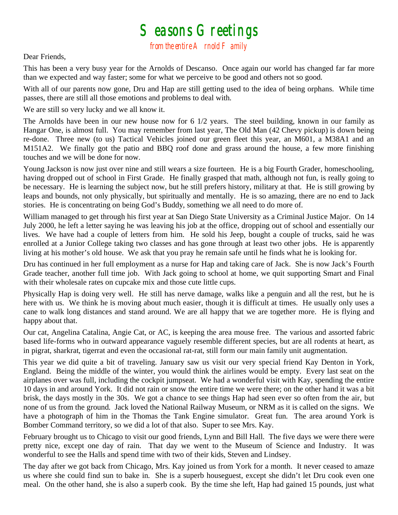## $S$ easons  $G$ reetings<br>from the entire  $A$  rnold  $F$  amily

## Dear Friends,

This has been a very busy year for the Arnolds of Descanso. Once again our world has changed far far more than we expected and way faster; some for what we perceive to be good and others not so good.

With all of our parents now gone, Dru and Hap are still getting used to the idea of being orphans. While time passes, there are still all those emotions and problems to deal with.

We are still so very lucky and we all know it.

The Arnolds have been in our new house now for 6 1/2 years. The steel building, known in our family as Hangar One, is almost full. You may remember from last year, The Old Man (42 Chevy pickup) is down being re-done. Three new (to us) Tactical Vehicles joined our green fleet this year, an M601, a M38A1 and an M151A2. We finally got the patio and BBQ roof done and grass around the house, a few more finishing touches and we will be done for now.

Young Jackson is now just over nine and still wears a size fourteen. He is a big Fourth Grader, homeschooling, having dropped out of school in First Grade. He finally grasped that math, although not fun, is really going to be necessary. He is learning the subject now, but he still prefers history, military at that. He is still growing by leaps and bounds, not only physically, but spiritually and mentally. He is so amazing, there are no end to Jack stories. He is concentrating on being God's Buddy, something we all need to do more of.

William managed to get through his first year at San Diego State University as a Criminal Justice Major. On 14 July 2000, he left a letter saying he was leaving his job at the office, dropping out of school and essentially our lives. We have had a couple of letters from him. He sold his Jeep, bought a couple of trucks, said he was enrolled at a Junior College taking two classes and has gone through at least two other jobs. He is apparently living at his mother's old house. We ask that you pray he remain safe until he finds what he is looking for.

Dru has continued in her full employment as a nurse for Hap and taking care of Jack. She is now Jack's Fourth Grade teacher, another full time job. With Jack going to school at home, we quit supporting Smart and Final with their wholesale rates on cupcake mix and those cute little cups.

Physically Hap is doing very well. He still has nerve damage, walks like a penguin and all the rest, but he is here with us. We think he is moving about much easier, though it is difficult at times. He usually only uses a cane to walk long distances and stand around. We are all happy that we are together more. He is flying and happy about that.

Our cat, Angelina Catalina, Angie Cat, or AC, is keeping the area mouse free. The various and assorted fabric based life-forms who in outward appearance vaguely resemble different species, but are all rodents at heart, as in pigrat, sharkrat, tigerrat and even the occasional rat-rat, still form our main family unit augmentation.

This year we did quite a bit of traveling. January saw us visit our very special friend Kay Denton in York, England. Being the middle of the winter, you would think the airlines would be empty. Every last seat on the airplanes over was full, including the cockpit jumpseat. We had a wonderful visit with Kay, spending the entire 10 days in and around York. It did not rain or snow the entire time we were there; on the other hand it was a bit brisk, the days mostly in the 30s. We got a chance to see things Hap had seen ever so often from the air, but none of us from the ground. Jack loved the National Railway Museum, or NRM as it is called on the signs. We have a photograph of him in the Thomas the Tank Engine simulator. Great fun. The area around York is Bomber Command territory, so we did a lot of that also. Super to see Mrs. Kay.

February brought us to Chicago to visit our good friends, Lynn and Bill Hall. The five days we were there were pretty nice, except one day of rain. That day we went to the Museum of Science and Industry. It was wonderful to see the Halls and spend time with two of their kids, Steven and Lindsey.

The day after we got back from Chicago, Mrs. Kay joined us from York for a month. It never ceased to amaze us where she could find sun to bake in. She is a superb houseguest, except she didn't let Dru cook even one meal. On the other hand, she is also a superb cook. By the time she left, Hap had gained 15 pounds, just what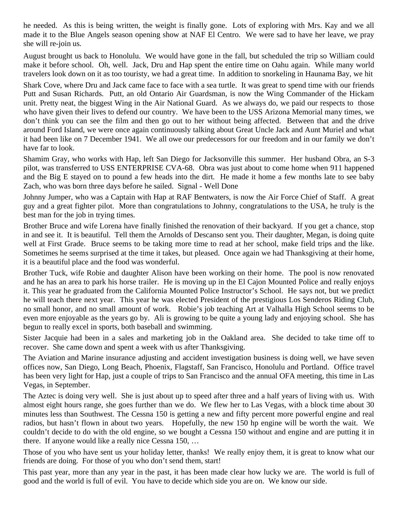he needed. As this is being written, the weight is finally gone. Lots of exploring with Mrs. Kay and we all made it to the Blue Angels season opening show at NAF El Centro. We were sad to have her leave, we pray she will re-join us.

August brought us back to Honolulu. We would have gone in the fall, but scheduled the trip so William could make it before school. Oh, well. Jack, Dru and Hap spent the entire time on Oahu again. While many world travelers look down on it as too touristy, we had a great time. In addition to snorkeling in Haunama Bay, we hit

Shark Cove, where Dru and Jack came face to face with a sea turtle. It was great to spend time with our friends Putt and Susan Richards. Putt, an old Ontario Air Guardsman, is now the Wing Commander of the Hickam unit. Pretty neat, the biggest Wing in the Air National Guard. As we always do, we paid our respects to those who have given their lives to defend our country. We have been to the USS Arizona Memorial many times, we don't think you can see the film and then go out to her without being affected. Between that and the drive around Ford Island, we were once again continuously talking about Great Uncle Jack and Aunt Muriel and what it had been like on 7 December 1941. We all owe our predecessors for our freedom and in our family we don't have far to look.

Shamim Gray, who works with Hap, left San Diego for Jacksonville this summer. Her husband Obra, an S-3 pilot, was transferred to USS ENTERPRISE CVA-68. Obra was just about to come home when 911 happened and the Big E stayed on to pound a few heads into the dirt. He made it home a few months late to see baby Zach, who was born three days before he sailed. Signal - Well Done

Johnny Jumper, who was a Captain with Hap at RAF Bentwaters, is now the Air Force Chief of Staff. A great guy and a great fighter pilot. More than congratulations to Johnny, congratulations to the USA, he truly is the best man for the job in trying times.

Brother Bruce and wife Lorena have finally finished the renovation of their backyard. If you get a chance, stop in and see it. It is beautiful. Tell them the Arnolds of Descanso sent you. Their daughter, Megan, is doing quite well at First Grade. Bruce seems to be taking more time to read at her school, make field trips and the like. Sometimes he seems surprised at the time it takes, but pleased. Once again we had Thanksgiving at their home, it is a beautiful place and the food was wonderful.

Brother Tuck, wife Robie and daughter Alison have been working on their home. The pool is now renovated and he has an area to park his horse trailer. He is moving up in the El Cajon Mounted Police and really enjoys it. This year he graduated from the California Mounted Police Instructor's School. He says not, but we predict he will teach there next year. This year he was elected President of the prestigious Los Senderos Riding Club, no small honor, and no small amount of work. Robie's job teaching Art at Valhalla High School seems to be even more enjoyable as the years go by. Ali is growing to be quite a young lady and enjoying school. She has begun to really excel in sports, both baseball and swimming.

Sister Jacquie had been in a sales and marketing job in the Oakland area. She decided to take time off to recover. She came down and spent a week with us after Thanksgiving.

The Aviation and Marine insurance adjusting and accident investigation business is doing well, we have seven offices now, San Diego, Long Beach, Phoenix, Flagstaff, San Francisco, Honolulu and Portland. Office travel has been very light for Hap, just a couple of trips to San Francisco and the annual OFA meeting, this time in Las Vegas, in September.

The Aztec is doing very well. She is just about up to speed after three and a half years of living with us. With almost eight hours range, she goes further than we do. We flew her to Las Vegas, with a block time about 30 minutes less than Southwest. The Cessna 150 is getting a new and fifty percent more powerful engine and real radios, but hasn't flown in about two years. Hopefully, the new 150 hp engine will be worth the wait. We couldn't decide to do with the old engine, so we bought a Cessna 150 without and engine and are putting it in there. If anyone would like a really nice Cessna 150, …

Those of you who have sent us your holiday letter, thanks! We really enjoy them, it is great to know what our friends are doing. For those of you who don't send them, start!

This past year, more than any year in the past, it has been made clear how lucky we are. The world is full of good and the world is full of evil. You have to decide which side you are on. We know our side.